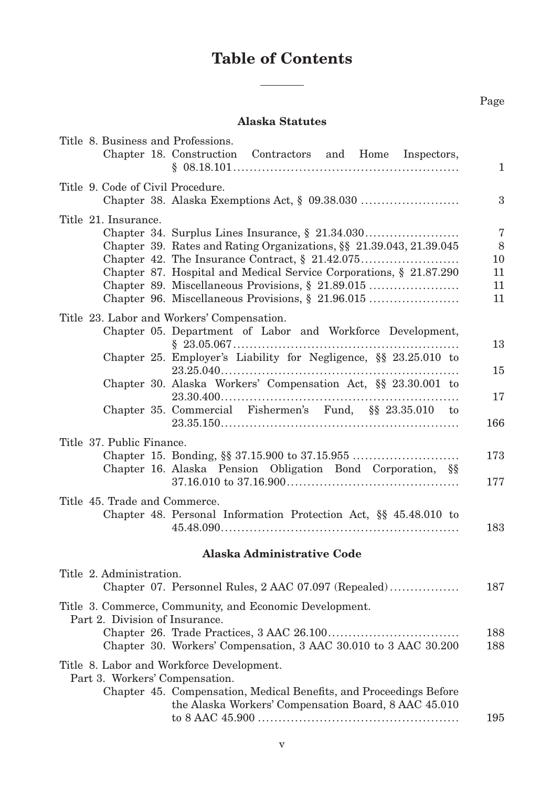## **Table of Contents**

 $\frac{1}{2}$ 

## **Alaska Statutes**

| Title 8. Business and Professions.<br>Chapter 18. Construction Contractors and Home Inspectors,                                                                                                                                                                                                                          | $\mathbf{1}$                                    |
|--------------------------------------------------------------------------------------------------------------------------------------------------------------------------------------------------------------------------------------------------------------------------------------------------------------------------|-------------------------------------------------|
| Title 9. Code of Civil Procedure.                                                                                                                                                                                                                                                                                        | $\boldsymbol{3}$                                |
| Title 21. Insurance.<br>Chapter 39. Rates and Rating Organizations, §§ 21.39.043, 21.39.045<br>Chapter 87. Hospital and Medical Service Corporations, § 21.87.290<br>Chapter 89. Miscellaneous Provisions, § 21.89.015<br>Chapter 96. Miscellaneous Provisions, § 21.96.015                                              | $\overline{7}$<br>$8\,$<br>10<br>11<br>11<br>11 |
| Title 23. Labor and Workers' Compensation.<br>Chapter 05. Department of Labor and Workforce Development,<br>Chapter 25. Employer's Liability for Negligence, §§ 23.25.010 to<br>Chapter 30. Alaska Workers' Compensation Act, §§ 23.30.001 to<br>$23.30.400$<br>Chapter 35. Commercial Fishermen's Fund, §§ 23.35.010 to | 13<br>15<br>17<br>166                           |
| Title 37. Public Finance.<br>Chapter 16. Alaska Pension Obligation Bond Corporation, §§<br>$37.16.010 \text{ to } 37.16.900 \ldots \ldots \ldots \ldots \ldots \ldots \ldots \ldots \ldots \ldots \ldots \ldots \ldots$                                                                                                  | 173<br>177                                      |
| Title 45. Trade and Commerce.<br>Chapter 48. Personal Information Protection Act, §§ 45.48.010 to                                                                                                                                                                                                                        | 183                                             |
| <b>Alaska Administrative Code</b>                                                                                                                                                                                                                                                                                        |                                                 |
| Title 2. Administration.<br>Chapter 07. Personnel Rules, 2 AAC 07.097 (Repealed)                                                                                                                                                                                                                                         | 187                                             |
| Title 3. Commerce, Community, and Economic Development.<br>Part 2. Division of Insurance.<br>Chapter 30. Workers' Compensation, 3 AAC 30.010 to 3 AAC 30.200                                                                                                                                                             | 188<br>188                                      |
| Title 8. Labor and Workforce Development.<br>Part 3. Workers' Compensation.<br>Chapter 45. Compensation, Medical Benefits, and Proceedings Before<br>the Alaska Workers' Compensation Board, 8 AAC 45.010                                                                                                                | 195                                             |